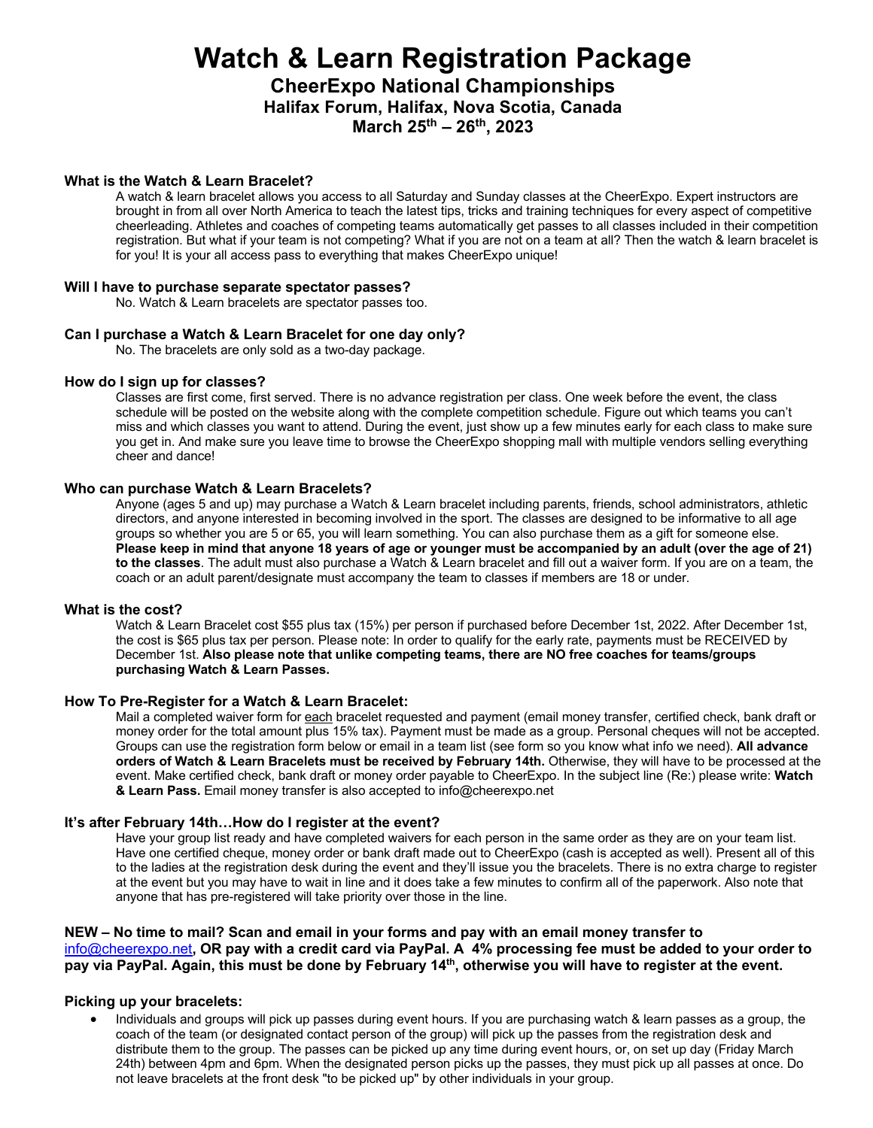# **Watch & Learn Registration Package**

**CheerExpo National Championships Halifax Forum, Halifax, Nova Scotia, Canada March 25th – 26th, 2023**

## **What is the Watch & Learn Bracelet?**

A watch & learn bracelet allows you access to all Saturday and Sunday classes at the CheerExpo. Expert instructors are brought in from all over North America to teach the latest tips, tricks and training techniques for every aspect of competitive cheerleading. Athletes and coaches of competing teams automatically get passes to all classes included in their competition registration. But what if your team is not competing? What if you are not on a team at all? Then the watch & learn bracelet is for you! It is your all access pass to everything that makes CheerExpo unique!

#### **Will I have to purchase separate spectator passes?**

No. Watch & Learn bracelets are spectator passes too.

#### **Can I purchase a Watch & Learn Bracelet for one day only?**

No. The bracelets are only sold as a two-day package.

## **How do I sign up for classes?**

Classes are first come, first served. There is no advance registration per class. One week before the event, the class schedule will be posted on the website along with the complete competition schedule. Figure out which teams you can't miss and which classes you want to attend. During the event, just show up a few minutes early for each class to make sure you get in. And make sure you leave time to browse the CheerExpo shopping mall with multiple vendors selling everything cheer and dance!

## **Who can purchase Watch & Learn Bracelets?**

Anyone (ages 5 and up) may purchase a Watch & Learn bracelet including parents, friends, school administrators, athletic directors, and anyone interested in becoming involved in the sport. The classes are designed to be informative to all age groups so whether you are 5 or 65, you will learn something. You can also purchase them as a gift for someone else. **Please keep in mind that anyone 18 years of age or younger must be accompanied by an adult (over the age of 21) to the classes**. The adult must also purchase a Watch & Learn bracelet and fill out a waiver form. If you are on a team, the coach or an adult parent/designate must accompany the team to classes if members are 18 or under.

#### **What is the cost?**

Watch & Learn Bracelet cost \$55 plus tax (15%) per person if purchased before December 1st, 2022. After December 1st, the cost is \$65 plus tax per person. Please note: In order to qualify for the early rate, payments must be RECEIVED by December 1st. **Also please note that unlike competing teams, there are NO free coaches for teams/groups purchasing Watch & Learn Passes.**

#### **How To Pre-Register for a Watch & Learn Bracelet:**

Mail a completed waiver form for each bracelet requested and payment (email money transfer, certified check, bank draft or money order for the total amount plus 15% tax). Payment must be made as a group. Personal cheques will not be accepted. Groups can use the registration form below or email in a team list (see form so you know what info we need). **All advance orders of Watch & Learn Bracelets must be received by February 14th.** Otherwise, they will have to be processed at the event. Make certified check, bank draft or money order payable to CheerExpo. In the subject line (Re:) please write: **Watch & Learn Pass.** Email money transfer is also accepted to info@cheerexpo.net

## **It's after February 14th…How do I register at the event?**

Have your group list ready and have completed waivers for each person in the same order as they are on your team list. Have one certified cheque, money order or bank draft made out to CheerExpo (cash is accepted as well). Present all of this to the ladies at the registration desk during the event and they'll issue you the bracelets. There is no extra charge to register at the event but you may have to wait in line and it does take a few minutes to confirm all of the paperwork. Also note that anyone that has pre-registered will take priority over those in the line.

## **NEW – No time to mail? Scan and email in your forms and pay with an email money transfer to**  info@cheerexpo.net**, OR pay with a credit card via PayPal. A 4% processing fee must be added to your order to**  pay via PayPal. Again, this must be done by February 14<sup>th</sup>, otherwise you will have to register at the event.

## **Picking up your bracelets:**

• Individuals and groups will pick up passes during event hours. If you are purchasing watch & learn passes as a group, the coach of the team (or designated contact person of the group) will pick up the passes from the registration desk and distribute them to the group. The passes can be picked up any time during event hours, or, on set up day (Friday March 24th) between 4pm and 6pm. When the designated person picks up the passes, they must pick up all passes at once. Do not leave bracelets at the front desk "to be picked up" by other individuals in your group.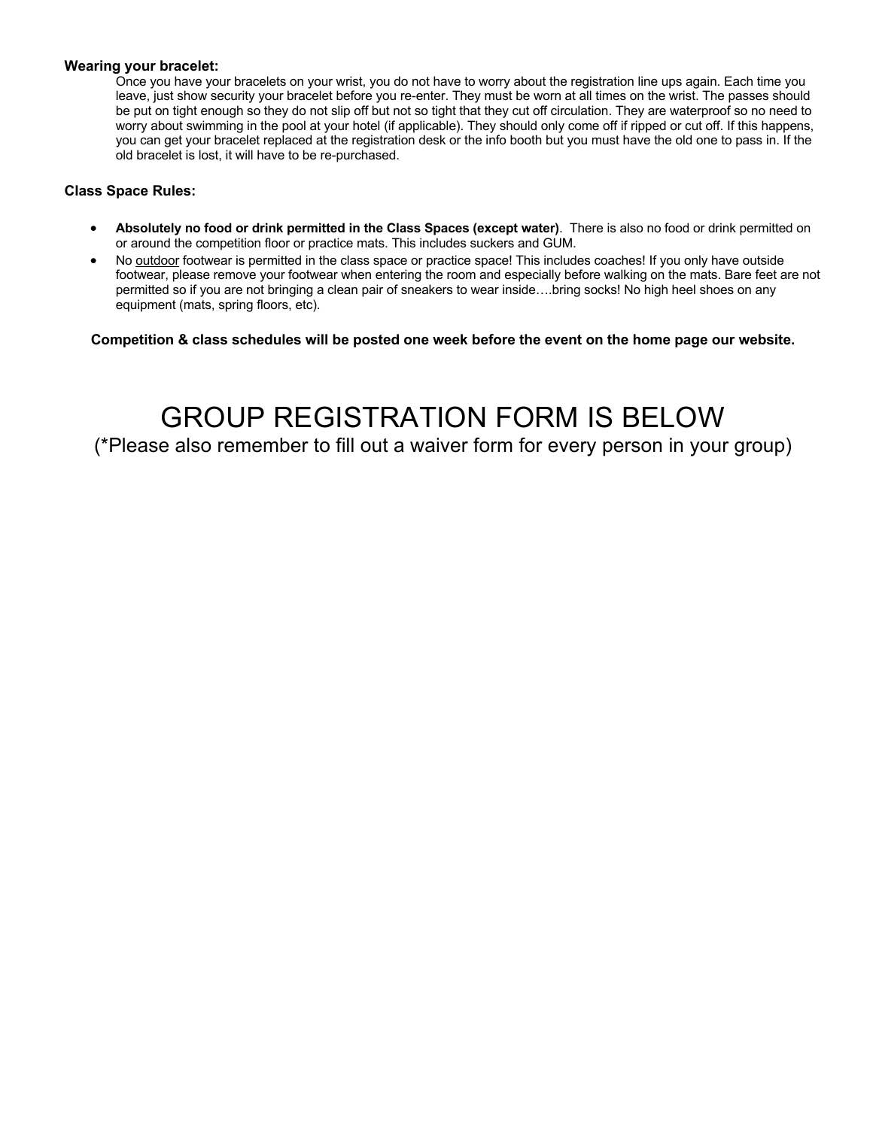## **Wearing your bracelet:**

Once you have your bracelets on your wrist, you do not have to worry about the registration line ups again. Each time you leave, just show security your bracelet before you re-enter. They must be worn at all times on the wrist. The passes should be put on tight enough so they do not slip off but not so tight that they cut off circulation. They are waterproof so no need to worry about swimming in the pool at your hotel (if applicable). They should only come off if ripped or cut off. If this happens, you can get your bracelet replaced at the registration desk or the info booth but you must have the old one to pass in. If the old bracelet is lost, it will have to be re-purchased.

## **Class Space Rules:**

- **Absolutely no food or drink permitted in the Class Spaces (except water)**. There is also no food or drink permitted on or around the competition floor or practice mats. This includes suckers and GUM.
- No outdoor footwear is permitted in the class space or practice space! This includes coaches! If you only have outside footwear, please remove your footwear when entering the room and especially before walking on the mats. Bare feet are not permitted so if you are not bringing a clean pair of sneakers to wear inside….bring socks! No high heel shoes on any equipment (mats, spring floors, etc).

**Competition & class schedules will be posted one week before the event on the home page our website.** 

GROUP REGISTRATION FORM IS BELOW (\*Please also remember to fill out a waiver form for every person in your group)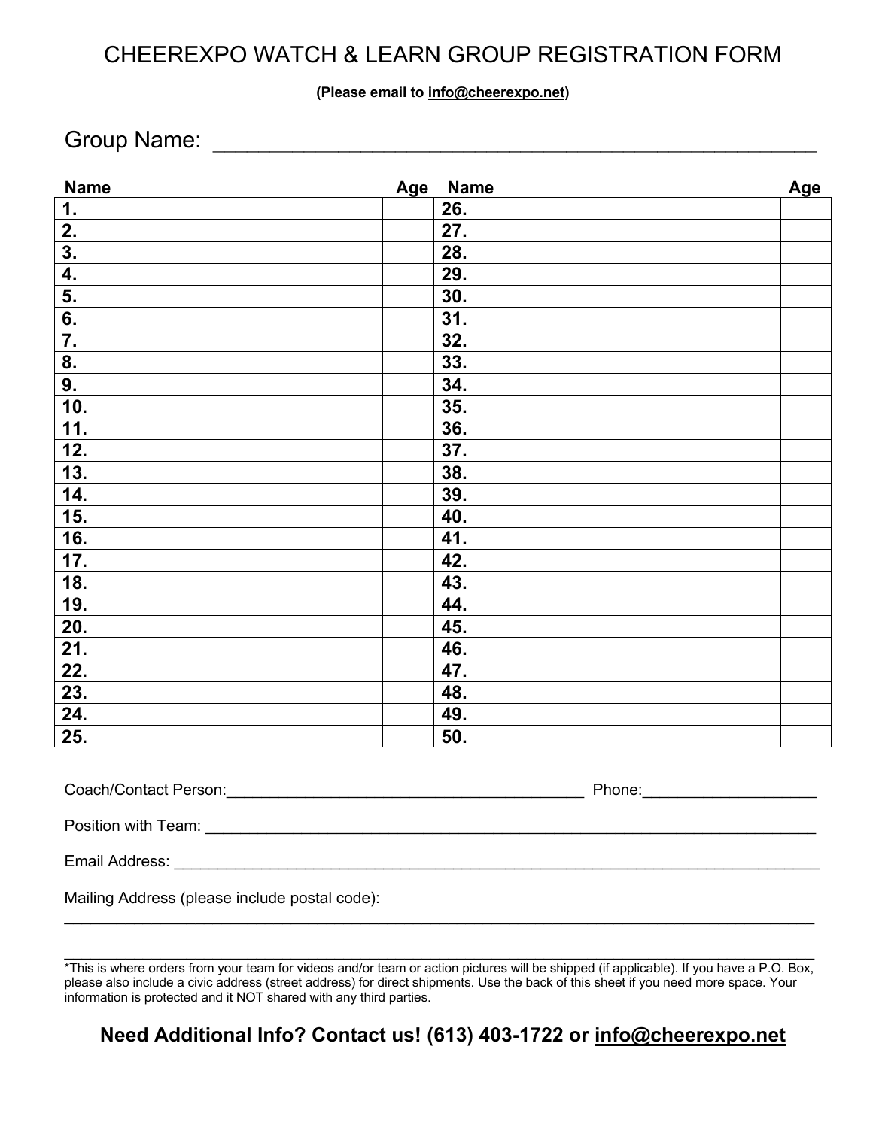# CHEEREXPO WATCH & LEARN GROUP REGISTRATION FORM

## **(Please email to info@cheerexpo.net)**

## Group Name: \_\_\_\_\_\_\_\_\_\_\_\_\_\_\_\_\_\_\_\_\_\_\_\_\_\_\_\_\_\_\_\_\_\_\_\_\_\_\_\_\_\_\_\_\_\_\_\_\_\_\_\_\_

| <b>Name</b>      | Age<br><b>Name</b> | Age |
|------------------|--------------------|-----|
| 1.               | 26.                |     |
| 2.               | 27.                |     |
| 3.               | 28.                |     |
| $\overline{4}$ . | 29.                |     |
| 5.               | 30.                |     |
| $\overline{6}$ . | 31.                |     |
| $\overline{7}$ . | 32.                |     |
| 8.               | 33.                |     |
| 9.               | 34.                |     |
| 10.              | 35.                |     |
| 11.              | 36.                |     |
| 12.              | 37.                |     |
| 13.              | 38.                |     |
| 14.              | 39.                |     |
| 15.              | 40.                |     |
| 16.              | 41.                |     |
| 17.              | 42.                |     |
| 18.              | 43.                |     |
| 19.              | 44.                |     |
| 20.              | 45.                |     |
| 21.              | 46.                |     |
| 22.              | 47.                |     |
| 23.              | 48.                |     |
| 24.              | 49.                |     |
| 25.              | 50.                |     |
|                  |                    |     |

| Coach/Contact Person: | Phone: |  |
|-----------------------|--------|--|
| Position with Team:   |        |  |
|                       |        |  |
| Email Address:        |        |  |
|                       |        |  |

Mailing Address (please include postal code):

 $\_$ 

## **Need Additional Info? Contact us! (613) 403-1722 or info@cheerexpo.net**

<sup>\*</sup>This is where orders from your team for videos and/or team or action pictures will be shipped (if applicable). If you have a P.O. Box, please also include a civic address (street address) for direct shipments. Use the back of this sheet if you need more space. Your information is protected and it NOT shared with any third parties.